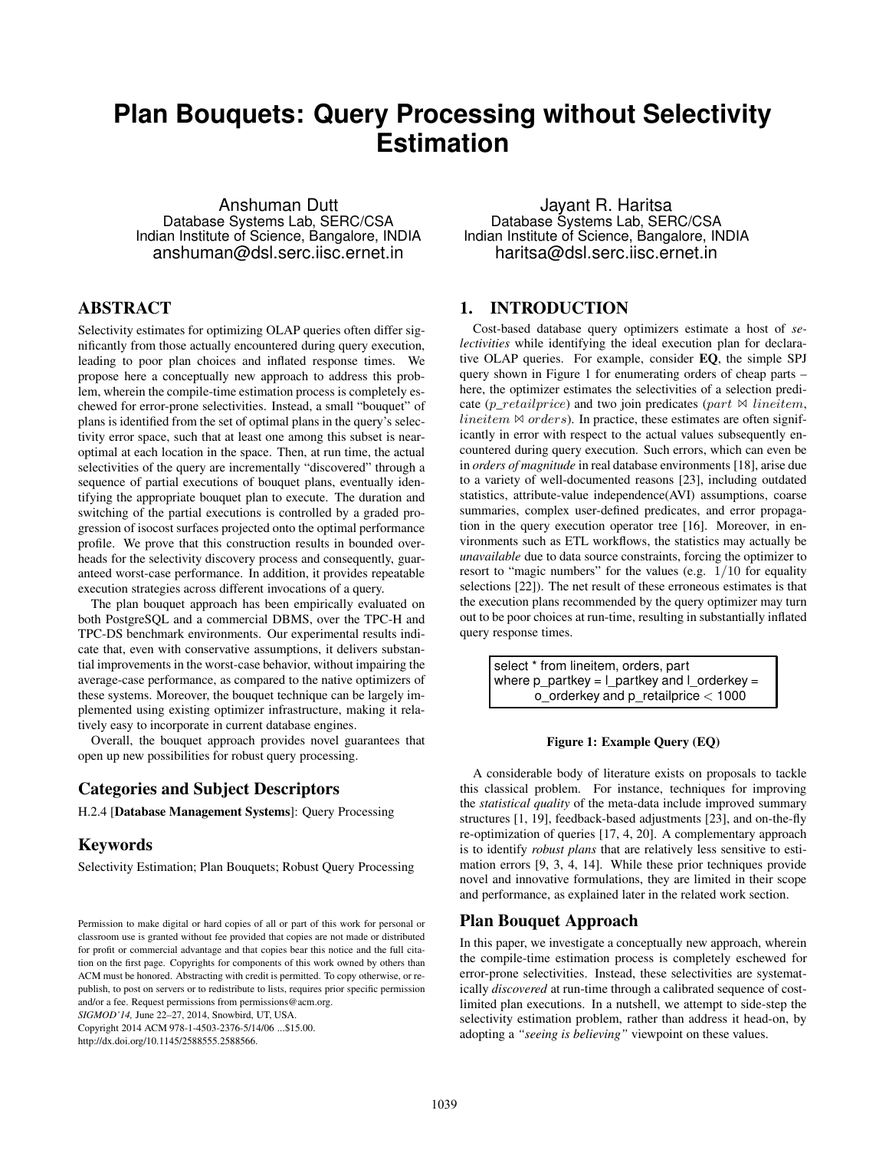# **Plan Bouquets: Query Processing without Selectivity Estimation**

Anshuman Dutt Database Systems Lab, SERC/CSA Indian Institute of Science, Bangalore, INDIA anshuman@dsl.serc.iisc.ernet.in

# **ABSTRACT**

Selectivity estimates for optimizing OLAP queries often differ significantly from those actually encountered during query execution, leading to poor plan choices and inflated response times. We propose here a conceptually new approach to address this problem, wherein the compile-time estimation process is completely eschewed for error-prone selectivities. Instead, a small "bouquet" of plans is identified from the set of optimal plans in the query's selectivity error space, such that at least one among this subset is nearoptimal at each location in the space. Then, at run time, the actual selectivities of the query are incrementally "discovered" through a sequence of partial executions of bouquet plans, eventually identifying the appropriate bouquet plan to execute. The duration and switching of the partial executions is controlled by a graded progression of isocost surfaces projected onto the optimal performance profile. We prove that this construction results in bounded overheads for the selectivity discovery process and consequently, guaranteed worst-case performance. In addition, it provides repeatable execution strategies across different invocations of a query.

The plan bouquet approach has been empirically evaluated on both PostgreSQL and a commercial DBMS, over the TPC-H and TPC-DS benchmark environments. Our experimental results indicate that, even with conservative assumptions, it delivers substantial improvements in the worst-case behavior, without impairing the average-case performance, as compared to the native optimizers of these systems. Moreover, the bouquet technique can be largely implemented using existing optimizer infrastructure, making it relatively easy to incorporate in current database engines.

Overall, the bouquet approach provides novel guarantees that open up new possibilities for robust query processing.

# **Categories and Subject Descriptors**

H.2.4 [**Database Management Systems**]: Query Processing

# **Keywords**

Selectivity Estimation; Plan Bouquets; Robust Query Processing

*SIGMOD'14,* June 22–27, 2014, Snowbird, UT, USA.

Copyright 2014 ACM 978-1-4503-2376-5/14/06 ...\$15.00. http://dx.doi.org/10.1145/2588555.2588566.

Jayant R. Haritsa Database Systems Lab, SERC/CSA Indian Institute of Science, Bangalore, INDIA haritsa@dsl.serc.iisc.ernet.in

# **1. INTRODUCTION**

Cost-based database query optimizers estimate a host of *selectivities* while identifying the ideal execution plan for declarative OLAP queries. For example, consider **EQ**, the simple SPJ query shown in Figure 1 for enumerating orders of cheap parts – here, the optimizer estimates the selectivities of a selection predicate (p\_retailprice) and two join predicates (part  $\bowtie$  lineitem, lineitem  $\bowtie$  orders). In practice, these estimates are often significantly in error with respect to the actual values subsequently encountered during query execution. Such errors, which can even be in *orders of magnitude* in real database environments [18], arise due to a variety of well-documented reasons [23], including outdated statistics, attribute-value independence(AVI) assumptions, coarse summaries, complex user-defined predicates, and error propagation in the query execution operator tree [16]. Moreover, in environments such as ETL workflows, the statistics may actually be *unavailable* due to data source constraints, forcing the optimizer to resort to "magic numbers" for the values (e.g. 1/10 for equality selections [22]). The net result of these erroneous estimates is that the execution plans recommended by the query optimizer may turn out to be poor choices at run-time, resulting in substantially inflated query response times.

> select \* from lineitem, orders, part where p\_partkey = l\_partkey and l\_orderkey = o\_orderkey and p\_retailprice < 1000

#### **Figure 1: Example Query (EQ)**

A considerable body of literature exists on proposals to tackle this classical problem. For instance, techniques for improving the *statistical quality* of the meta-data include improved summary structures [1, 19], feedback-based adjustments [23], and on-the-fly re-optimization of queries [17, 4, 20]. A complementary approach is to identify *robust plans* that are relatively less sensitive to estimation errors [9, 3, 4, 14]. While these prior techniques provide novel and innovative formulations, they are limited in their scope and performance, as explained later in the related work section.

## **Plan Bouquet Approach**

In this paper, we investigate a conceptually new approach, wherein the compile-time estimation process is completely eschewed for error-prone selectivities. Instead, these selectivities are systematically *discovered* at run-time through a calibrated sequence of costlimited plan executions. In a nutshell, we attempt to side-step the selectivity estimation problem, rather than address it head-on, by adopting a *"seeing is believing"* viewpoint on these values.

Permission to make digital or hard copies of all or part of this work for personal or classroom use is granted without fee provided that copies are not made or distributed for profit or commercial advantage and that copies bear this notice and the full citation on the first page. Copyrights for components of this work owned by others than ACM must be honored. Abstracting with credit is permitted. To copy otherwise, or republish, to post on servers or to redistribute to lists, requires prior specific permission and/or a fee. Request permissions from permissions@acm.org.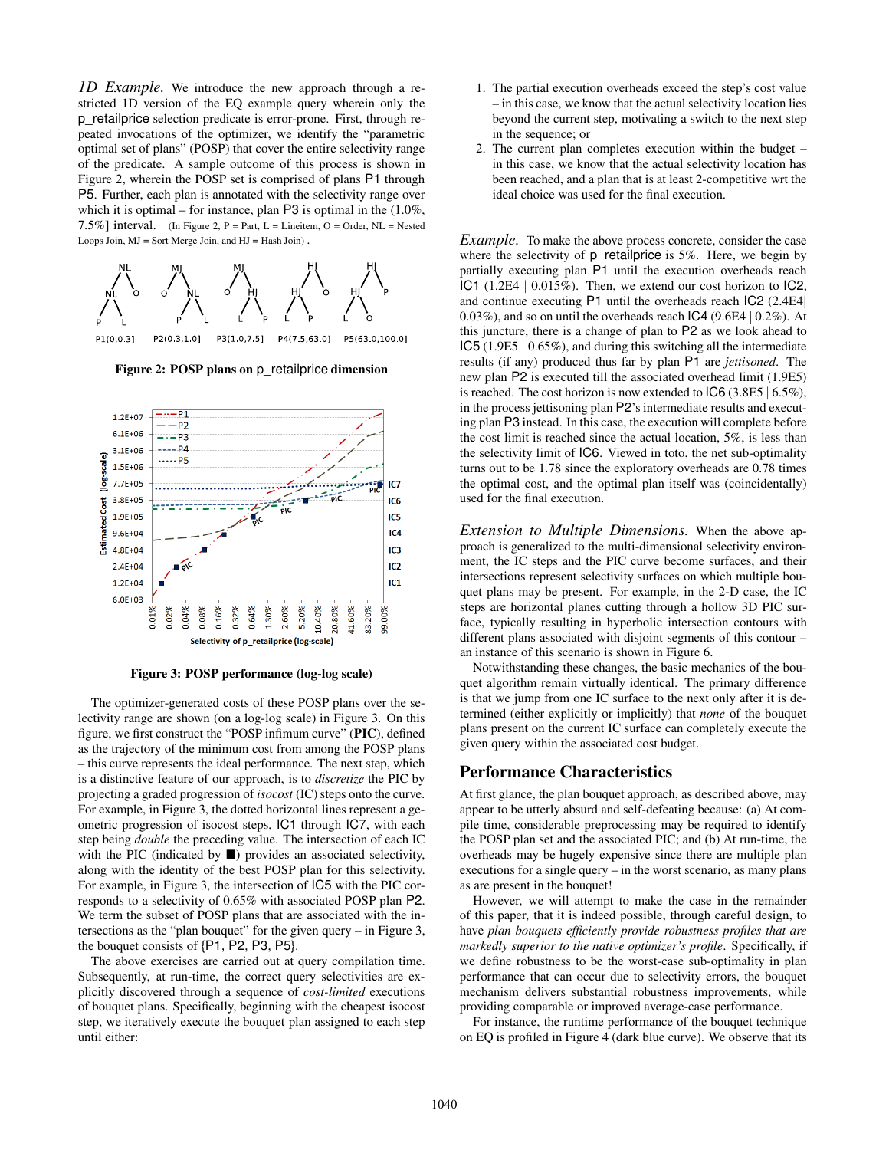*1D Example.* We introduce the new approach through a restricted 1D version of the EQ example query wherein only the p\_retailprice selection predicate is error-prone. First, through repeated invocations of the optimizer, we identify the "parametric optimal set of plans" (POSP) that cover the entire selectivity range of the predicate. A sample outcome of this process is shown in Figure 2, wherein the POSP set is comprised of plans P1 through P5. Further, each plan is annotated with the selectivity range over which it is optimal – for instance, plan  $P3$  is optimal in the  $(1.0\%$ , 7.5%] interval. (In Figure 2, P = Part, L = Lineitem, O = Order, NL = Nested Loops Join, MJ = Sort Merge Join, and HJ = Hash Join) .



**Figure 2: POSP plans on** p\_retailprice **dimension**



**Figure 3: POSP performance (log-log scale)**

The optimizer-generated costs of these POSP plans over the selectivity range are shown (on a log-log scale) in Figure 3. On this figure, we first construct the "POSP infimum curve" (**PIC**), defined as the trajectory of the minimum cost from among the POSP plans – this curve represents the ideal performance. The next step, which is a distinctive feature of our approach, is to *discretize* the PIC by projecting a graded progression of *isocost* (IC) steps onto the curve. For example, in Figure 3, the dotted horizontal lines represent a geometric progression of isocost steps, IC1 through IC7, with each step being *double* the preceding value. The intersection of each IC with the PIC (indicated by  $\blacksquare$ ) provides an associated selectivity, along with the identity of the best POSP plan for this selectivity. For example, in Figure 3, the intersection of IC5 with the PIC corresponds to a selectivity of 0.65% with associated POSP plan P2. We term the subset of POSP plans that are associated with the intersections as the "plan bouquet" for the given query  $-$  in Figure 3, the bouquet consists of {P1, P2, P3, P5}.

The above exercises are carried out at query compilation time. Subsequently, at run-time, the correct query selectivities are explicitly discovered through a sequence of *cost-limited* executions of bouquet plans. Specifically, beginning with the cheapest isocost step, we iteratively execute the bouquet plan assigned to each step until either:

- 1. The partial execution overheads exceed the step's cost value – in this case, we know that the actual selectivity location lies beyond the current step, motivating a switch to the next step in the sequence; or
- 2. The current plan completes execution within the budget in this case, we know that the actual selectivity location has been reached, and a plan that is at least 2-competitive wrt the ideal choice was used for the final execution.

*Example.* To make the above process concrete, consider the case where the selectivity of **p\_retailprice** is 5%. Here, we begin by partially executing plan P1 until the execution overheads reach IC1 (1.2E4 | 0.015%). Then, we extend our cost horizon to IC2, and continue executing P1 until the overheads reach IC2 (2.4E4| 0.03%), and so on until the overheads reach IC4 (9.6E4 | 0.2%). At this juncture, there is a change of plan to P2 as we look ahead to IC5 (1.9E5 | 0.65%), and during this switching all the intermediate results (if any) produced thus far by plan P1 are *jettisoned*. The new plan P2 is executed till the associated overhead limit (1.9E5) is reached. The cost horizon is now extended to IC6 (3.8E5 | 6.5%), in the process jettisoning plan P2's intermediate results and executing plan P3 instead. In this case, the execution will complete before the cost limit is reached since the actual location, 5%, is less than the selectivity limit of IC6. Viewed in toto, the net sub-optimality turns out to be 1.78 since the exploratory overheads are 0.78 times the optimal cost, and the optimal plan itself was (coincidentally) used for the final execution.

*Extension to Multiple Dimensions.* When the above approach is generalized to the multi-dimensional selectivity environment, the IC steps and the PIC curve become surfaces, and their intersections represent selectivity surfaces on which multiple bouquet plans may be present. For example, in the 2-D case, the IC steps are horizontal planes cutting through a hollow 3D PIC surface, typically resulting in hyperbolic intersection contours with different plans associated with disjoint segments of this contour – an instance of this scenario is shown in Figure 6.

Notwithstanding these changes, the basic mechanics of the bouquet algorithm remain virtually identical. The primary difference is that we jump from one IC surface to the next only after it is determined (either explicitly or implicitly) that *none* of the bouquet plans present on the current IC surface can completely execute the given query within the associated cost budget.

## **Performance Characteristics**

At first glance, the plan bouquet approach, as described above, may appear to be utterly absurd and self-defeating because: (a) At compile time, considerable preprocessing may be required to identify the POSP plan set and the associated PIC; and (b) At run-time, the overheads may be hugely expensive since there are multiple plan executions for a single query – in the worst scenario, as many plans as are present in the bouquet!

However, we will attempt to make the case in the remainder of this paper, that it is indeed possible, through careful design, to have *plan bouquets efficiently provide robustness profiles that are markedly superior to the native optimizer's profile*. Specifically, if we define robustness to be the worst-case sub-optimality in plan performance that can occur due to selectivity errors, the bouquet mechanism delivers substantial robustness improvements, while providing comparable or improved average-case performance.

For instance, the runtime performance of the bouquet technique on EQ is profiled in Figure 4 (dark blue curve). We observe that its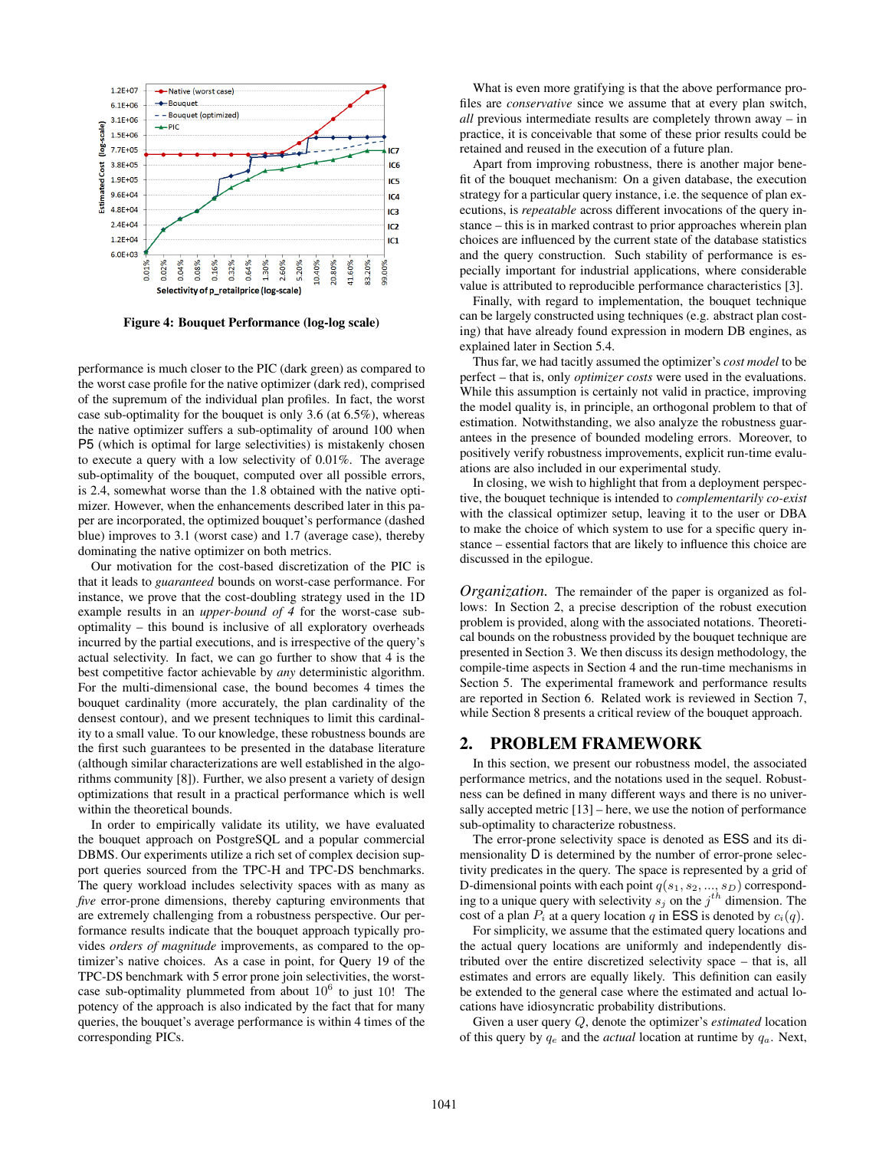

**Figure 4: Bouquet Performance (log-log scale)**

performance is much closer to the PIC (dark green) as compared to the worst case profile for the native optimizer (dark red), comprised of the supremum of the individual plan profiles. In fact, the worst case sub-optimality for the bouquet is only 3.6 (at 6.5%), whereas the native optimizer suffers a sub-optimality of around 100 when P5 (which is optimal for large selectivities) is mistakenly chosen to execute a query with a low selectivity of 0.01%. The average sub-optimality of the bouquet, computed over all possible errors, is 2.4, somewhat worse than the 1.8 obtained with the native optimizer. However, when the enhancements described later in this paper are incorporated, the optimized bouquet's performance (dashed blue) improves to 3.1 (worst case) and 1.7 (average case), thereby dominating the native optimizer on both metrics.

Our motivation for the cost-based discretization of the PIC is that it leads to *guaranteed* bounds on worst-case performance. For instance, we prove that the cost-doubling strategy used in the 1D example results in an *upper-bound of 4* for the worst-case suboptimality – this bound is inclusive of all exploratory overheads incurred by the partial executions, and is irrespective of the query's actual selectivity. In fact, we can go further to show that 4 is the best competitive factor achievable by *any* deterministic algorithm. For the multi-dimensional case, the bound becomes 4 times the bouquet cardinality (more accurately, the plan cardinality of the densest contour), and we present techniques to limit this cardinality to a small value. To our knowledge, these robustness bounds are the first such guarantees to be presented in the database literature (although similar characterizations are well established in the algorithms community [8]). Further, we also present a variety of design optimizations that result in a practical performance which is well within the theoretical bounds.

In order to empirically validate its utility, we have evaluated the bouquet approach on PostgreSQL and a popular commercial DBMS. Our experiments utilize a rich set of complex decision support queries sourced from the TPC-H and TPC-DS benchmarks. The query workload includes selectivity spaces with as many as *five* error-prone dimensions, thereby capturing environments that are extremely challenging from a robustness perspective. Our performance results indicate that the bouquet approach typically provides *orders of magnitude* improvements, as compared to the optimizer's native choices. As a case in point, for Query 19 of the TPC-DS benchmark with 5 error prone join selectivities, the worstcase sub-optimality plummeted from about  $10^6$  to just 10! The potency of the approach is also indicated by the fact that for many queries, the bouquet's average performance is within 4 times of the corresponding PICs.

What is even more gratifying is that the above performance profiles are *conservative* since we assume that at every plan switch, *all* previous intermediate results are completely thrown away – in practice, it is conceivable that some of these prior results could be retained and reused in the execution of a future plan.

Apart from improving robustness, there is another major benefit of the bouquet mechanism: On a given database, the execution strategy for a particular query instance, i.e. the sequence of plan executions, is *repeatable* across different invocations of the query instance – this is in marked contrast to prior approaches wherein plan choices are influenced by the current state of the database statistics and the query construction. Such stability of performance is especially important for industrial applications, where considerable value is attributed to reproducible performance characteristics [3].

Finally, with regard to implementation, the bouquet technique can be largely constructed using techniques (e.g. abstract plan costing) that have already found expression in modern DB engines, as explained later in Section 5.4.

Thus far, we had tacitly assumed the optimizer's *cost model* to be perfect – that is, only *optimizer costs* were used in the evaluations. While this assumption is certainly not valid in practice, improving the model quality is, in principle, an orthogonal problem to that of estimation. Notwithstanding, we also analyze the robustness guarantees in the presence of bounded modeling errors. Moreover, to positively verify robustness improvements, explicit run-time evaluations are also included in our experimental study.

In closing, we wish to highlight that from a deployment perspective, the bouquet technique is intended to *complementarily co-exist* with the classical optimizer setup, leaving it to the user or DBA to make the choice of which system to use for a specific query instance – essential factors that are likely to influence this choice are discussed in the epilogue.

*Organization.* The remainder of the paper is organized as follows: In Section 2, a precise description of the robust execution problem is provided, along with the associated notations. Theoretical bounds on the robustness provided by the bouquet technique are presented in Section 3. We then discuss its design methodology, the compile-time aspects in Section 4 and the run-time mechanisms in Section 5. The experimental framework and performance results are reported in Section 6. Related work is reviewed in Section 7, while Section 8 presents a critical review of the bouquet approach.

## **2. PROBLEM FRAMEWORK**

In this section, we present our robustness model, the associated performance metrics, and the notations used in the sequel. Robustness can be defined in many different ways and there is no universally accepted metric [13] – here, we use the notion of performance sub-optimality to characterize robustness.

The error-prone selectivity space is denoted as ESS and its dimensionality D is determined by the number of error-prone selectivity predicates in the query. The space is represented by a grid of D-dimensional points with each point  $q(s_1, s_2, ..., s_D)$  corresponding to a unique query with selectivity  $s_j$  on the  $j^{th}$  dimension. The cost of a plan  $P_i$  at a query location q in **ESS** is denoted by  $c_i(q)$ .

For simplicity, we assume that the estimated query locations and the actual query locations are uniformly and independently distributed over the entire discretized selectivity space – that is, all estimates and errors are equally likely. This definition can easily be extended to the general case where the estimated and actual locations have idiosyncratic probability distributions.

Given a user query Q, denote the optimizer's *estimated* location of this query by  $q_e$  and the *actual* location at runtime by  $q_a$ . Next,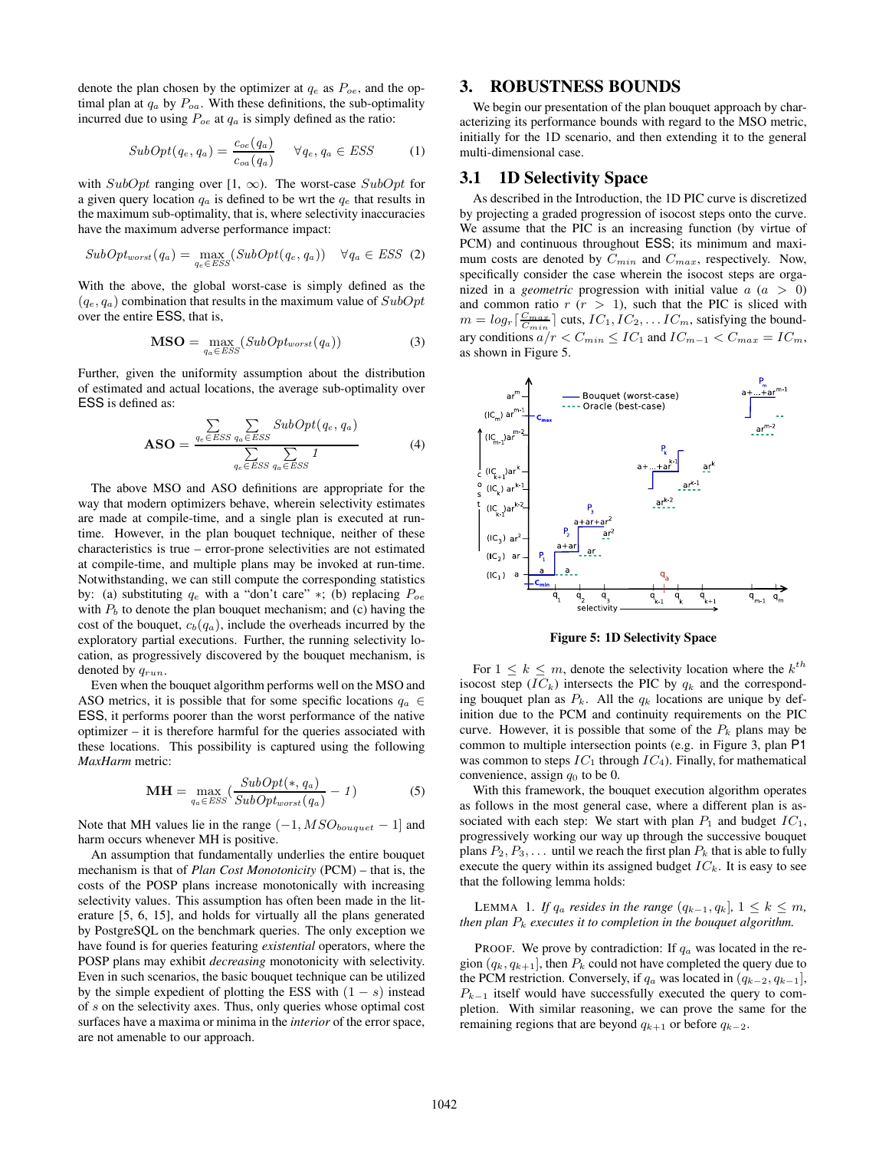denote the plan chosen by the optimizer at  $q_e$  as  $P_{oe}$ , and the optimal plan at  $q_a$  by  $P_{oa}$ . With these definitions, the sub-optimality incurred due to using  $P_{oe}$  at  $q_a$  is simply defined as the ratio:

$$
SubOpt(q_e, q_a) = \frac{c_{oe}(q_a)}{c_{oa}(q_a)} \quad \forall q_e, q_a \in ESS \tag{1}
$$

with SubOpt ranging over  $[1, \infty)$ . The worst-case SubOpt for a given query location  $q_a$  is defined to be wrt the  $q_e$  that results in the maximum sub-optimality, that is, where selectivity inaccuracies have the maximum adverse performance impact:

$$
SubOpt_{worst}(q_a) = \max_{q_e \in ESS} (SubOpt(q_e, q_a)) \quad \forall q_a \in ESS \tag{2}
$$

With the above, the global worst-case is simply defined as the  $(q_e, q_a)$  combination that results in the maximum value of  $SubOpt$ over the entire ESS, that is,

$$
\mathbf{MSO} = \max_{q_a \in ESS} (SubOpt_{worst}(q_a))
$$
 (3)

Further, given the uniformity assumption about the distribution of estimated and actual locations, the average sub-optimality over ESS is defined as:

$$
\text{ASO} = \frac{\sum\limits_{q_e \in ESS} \sum\limits_{q_a \in ESS} SubOpt(q_e, q_a)}{\sum\limits_{q_e \in ESS} \sum\limits_{q_a \in ESS} 1}
$$
(4)

The above MSO and ASO definitions are appropriate for the way that modern optimizers behave, wherein selectivity estimates are made at compile-time, and a single plan is executed at runtime. However, in the plan bouquet technique, neither of these characteristics is true – error-prone selectivities are not estimated at compile-time, and multiple plans may be invoked at run-time. Notwithstanding, we can still compute the corresponding statistics by: (a) substituting  $q_e$  with a "don't care" \*; (b) replacing  $P_{oe}$ with  $P_b$  to denote the plan bouquet mechanism; and (c) having the cost of the bouquet,  $c_b(q_a)$ , include the overheads incurred by the exploratory partial executions. Further, the running selectivity location, as progressively discovered by the bouquet mechanism, is denoted by  $q_{run}$ .

Even when the bouquet algorithm performs well on the MSO and ASO metrics, it is possible that for some specific locations  $q_a \in$ ESS, it performs poorer than the worst performance of the native optimizer – it is therefore harmful for the queries associated with these locations. This possibility is captured using the following *MaxHarm* metric:

$$
\mathbf{MH} = \max_{q_a \in ESS} (\frac{SubOpt(*, q_a)}{SubOpt_{worst}(q_a)} - 1) \tag{5}
$$

Note that MH values lie in the range  $(-1,MSO_{bouquet} - 1]$  and harm occurs whenever MH is positive.

An assumption that fundamentally underlies the entire bouquet mechanism is that of *Plan Cost Monotonicity* (PCM) – that is, the costs of the POSP plans increase monotonically with increasing selectivity values. This assumption has often been made in the literature [5, 6, 15], and holds for virtually all the plans generated by PostgreSQL on the benchmark queries. The only exception we have found is for queries featuring *existential* operators, where the POSP plans may exhibit *decreasing* monotonicity with selectivity. Even in such scenarios, the basic bouquet technique can be utilized by the simple expedient of plotting the ESS with  $(1 - s)$  instead of s on the selectivity axes. Thus, only queries whose optimal cost surfaces have a maxima or minima in the *interior* of the error space, are not amenable to our approach.

## **3. ROBUSTNESS BOUNDS**

We begin our presentation of the plan bouquet approach by characterizing its performance bounds with regard to the MSO metric, initially for the 1D scenario, and then extending it to the general multi-dimensional case.

## **3.1 1D Selectivity Space**

As described in the Introduction, the 1D PIC curve is discretized by projecting a graded progression of isocost steps onto the curve. We assume that the PIC is an increasing function (by virtue of PCM) and continuous throughout ESS; its minimum and maximum costs are denoted by  $C_{min}$  and  $C_{max}$ , respectively. Now, specifically consider the case wherein the isocost steps are organized in a *geometric* progression with initial value  $a(a > 0)$ and common ratio  $r (r > 1)$ , such that the PIC is sliced with  $m = log_r \left[ \frac{C_{max}}{C_{min}} \right]$  cuts,  $IC_1, IC_2, \dots IC_m$ , satisfying the boundary conditions  $a/r < C_{min} \leq IC_1$  and  $IC_{m-1} < C_{max} = IC_m$ , as shown in Figure 5.



**Figure 5: 1D Selectivity Space**

For  $1 \leq k \leq m$ , denote the selectivity location where the  $k^{th}$ isocost step  $(IC_k)$  intersects the PIC by  $q_k$  and the corresponding bouquet plan as  $P_k$ . All the  $q_k$  locations are unique by definition due to the PCM and continuity requirements on the PIC curve. However, it is possible that some of the  $P_k$  plans may be common to multiple intersection points (e.g. in Figure 3, plan P1 was common to steps  $IC_1$  through  $IC_4$ ). Finally, for mathematical convenience, assign  $q_0$  to be 0.

With this framework, the bouquet execution algorithm operates as follows in the most general case, where a different plan is associated with each step: We start with plan  $P_1$  and budget  $IC_1$ , progressively working our way up through the successive bouquet plans  $P_2, P_3, \ldots$  until we reach the first plan  $P_k$  that is able to fully execute the query within its assigned budget  $IC_k$ . It is easy to see that the following lemma holds:

LEMMA 1. *If*  $q_a$  *resides in the range*  $(q_{k-1}, q_k)$ , 1 ≤  $k$  ≤ *m*, *then plan*  $P_k$  *executes it to completion in the bouquet algorithm.* 

PROOF. We prove by contradiction: If  $q_a$  was located in the region  $(q_k, q_{k+1}]$ , then  $P_k$  could not have completed the query due to the PCM restriction. Conversely, if  $q_a$  was located in  $(q_{k-2}, q_{k-1})$ ,  $P_{k-1}$  itself would have successfully executed the query to completion. With similar reasoning, we can prove the same for the remaining regions that are beyond  $q_{k+1}$  or before  $q_{k-2}$ .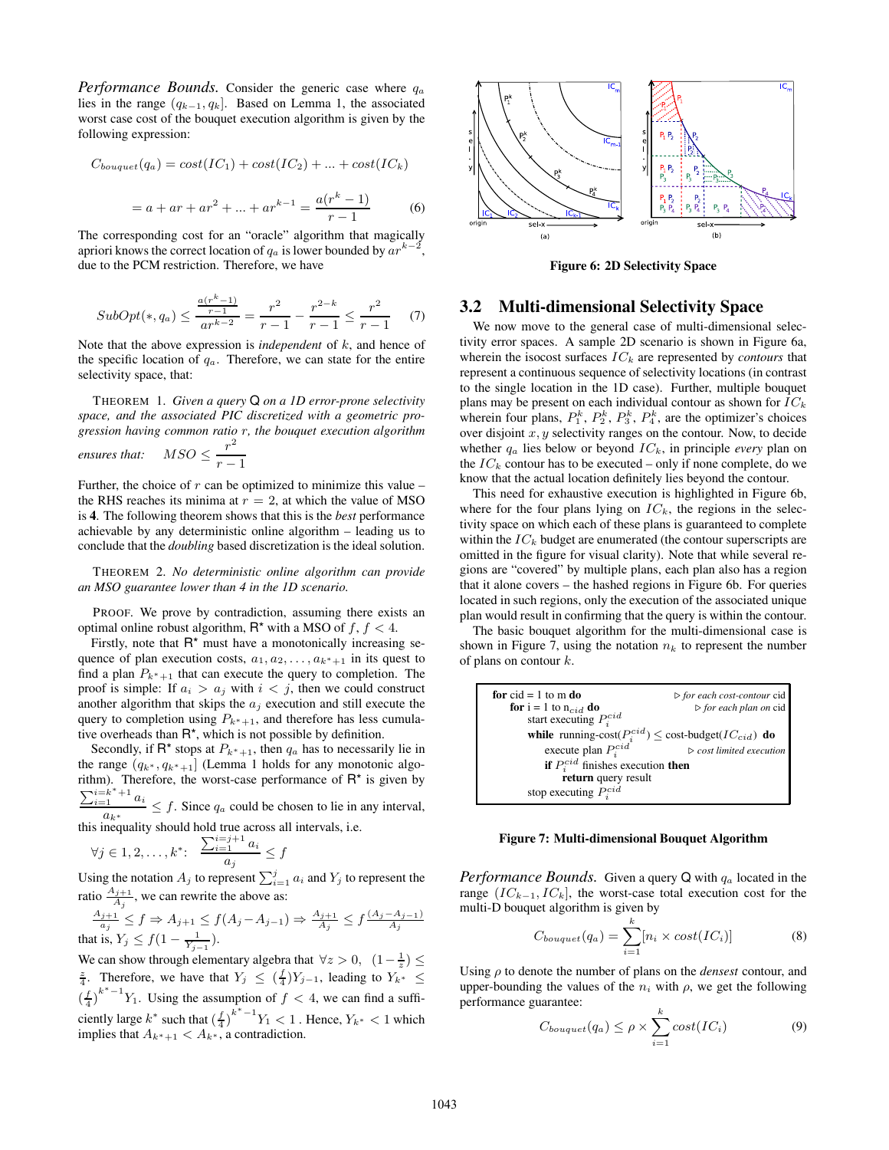*Performance Bounds.* Consider the generic case where  $q_a$ lies in the range  $(q_{k-1}, q_k]$ . Based on Lemma 1, the associated worst case cost of the bouquet execution algorithm is given by the following expression:

$$
C_{bouquet}(q_a) = cost(IC_1) + cost(IC_2) + \dots + cost(IC_k)
$$

$$
= a + ar + ar^2 + \dots + ar^{k-1} = \frac{a(r^k - 1)}{r - 1}
$$
(6)

The corresponding cost for an "oracle" algorithm that magically apriori knows the correct location of  $q_a$  is lower bounded by  $ar^{k-2}$ , due to the PCM restriction. Therefore, we have

$$
SubOpt(*, q_a) \le \frac{\frac{a(r^k - 1)}{r - 1}}{ar^{k - 2}} = \frac{r^2}{r - 1} - \frac{r^{2 - k}}{r - 1} \le \frac{r^2}{r - 1} \tag{7}
$$

Note that the above expression is *independent* of k, and hence of the specific location of  $q_a$ . Therefore, we can state for the entire selectivity space, that:

THEOREM 1. *Given a query* Q *on a 1D error-prone selectivity space, and the associated PIC discretized with a geometric progression having common ratio* r*, the bouquet execution algorithm ensures that:*  $MSO \leq \frac{r^2}{r-1}$ 

Further, the choice of  $r$  can be optimized to minimize this value – the RHS reaches its minima at  $r = 2$ , at which the value of MSO is **4**. The following theorem shows that this is the *best* performance achievable by any deterministic online algorithm – leading us to conclude that the *doubling* based discretization is the ideal solution.

THEOREM 2. *No deterministic online algorithm can provide an MSO guarantee lower than 4 in the 1D scenario.*

PROOF. We prove by contradiction, assuming there exists an optimal online robust algorithm,  $\mathsf{R}^*$  with a MSO of  $f, f < 4$ .

Firstly, note that  $R^*$  must have a monotonically increasing sequence of plan execution costs,  $a_1, a_2, \ldots, a_{k^*+1}$  in its quest to find a plan  $P_{k^*+1}$  that can execute the query to completion. The proof is simple: If  $a_i > a_j$  with  $i < j$ , then we could construct another algorithm that skips the  $a_i$  execution and still execute the query to completion using  $P_{k^*+1}$ , and therefore has less cumulative overheads than R\*, which is not possible by definition.

Secondly, if  $\mathsf{R}^*$  stops at  $P_{k^*+1}$ , then  $q_a$  has to necessarily lie in the range  $(q_{k^*}, q_{k^*+1}]$  (Lemma 1 holds for any monotonic algorithm). Therefore, the worst-case performance of  $R^*$  is given by  $\sum$  $\sum_{i=1}^{i=k^*+1} a_i$ 

 $\frac{a_{k+1}}{a_{k+1}} \leq f$ . Since  $q_a$  could be chosen to lie in any interval, this inequality should hold true across all intervals, i.e.

$$
\forall j \in 1, 2, \dots, k^* \colon \begin{array}{c} \sum_{i=1}^{i=j+1} a_i \\ a_j \end{array} \leq f
$$

Using the notation  $A_j$  to represent  $\sum_{i=1}^j a_i$  and  $Y_j$  to represent the ratio  $\frac{A_{j+1}}{A_j}$ , we can rewrite the above as:

$$
\frac{\frac{A_{j+1}}{a_j}}{\frac{A_j}{a_j}} \le f \Rightarrow A_{j+1} \le f(A_j - A_{j-1}) \Rightarrow \frac{A_{j+1}}{A_j} \le f\frac{(A_j - A_{j-1})}{A_j}
$$
  
that is,  $Y_j \le f(1 - \frac{1}{Y_{j-1}})$ .

We can show through elementary algebra that  $\forall z > 0$ ,  $(1 - \frac{1}{z}) \le$ We can show through elementary algebra that  $\forall z > 0$ ,  $(1 - \frac{1}{z}) \le \frac{z}{4}$ . Therefore, we have that  $Y_j \le (\frac{f}{4})Y_{j-1}$ , leading to  $Y_{k^*} \le$  $\left(\frac{4}{4}\right)^{k^*-1} Y_1$ . Using the assumption of  $f < 4$ , we can find a sufficiently large  $k^*$  such that  $\left(\frac{f}{4}\right)^{k^*-1}Y_1 < 1$ . Hence,  $Y_{k^*} < 1$  which implies that  $A_{k^*+1} < A_{k^*}$ , a contradiction.



**Figure 6: 2D Selectivity Space**

# **3.2 Multi-dimensional Selectivity Space**

We now move to the general case of multi-dimensional selectivity error spaces. A sample 2D scenario is shown in Figure 6a, wherein the isocost surfaces  $IC_k$  are represented by *contours* that represent a continuous sequence of selectivity locations (in contrast to the single location in the 1D case). Further, multiple bouquet plans may be present on each individual contour as shown for  $IC_k$ wherein four plans,  $P_1^k$ ,  $P_2^k$ ,  $P_3^k$ ,  $P_4^k$ , are the optimizer's choices over disjoint  $x, y$  selectivity ranges on the contour. Now, to decide whether  $q_a$  lies below or beyond  $IC_k$ , in principle *every* plan on the  $IC_k$  contour has to be executed – only if none complete, do we know that the actual location definitely lies beyond the contour.

This need for exhaustive execution is highlighted in Figure 6b, where for the four plans lying on  $IC_k$ , the regions in the selectivity space on which each of these plans is guaranteed to complete within the  $IC_k$  budget are enumerated (the contour superscripts are omitted in the figure for visual clarity). Note that while several regions are "covered" by multiple plans, each plan also has a region that it alone covers – the hashed regions in Figure 6b. For queries located in such regions, only the execution of the associated unique plan would result in confirming that the query is within the contour.

The basic bouquet algorithm for the multi-dimensional case is shown in Figure 7, using the notation  $n_k$  to represent the number of plans on contour k.



**Figure 7: Multi-dimensional Bouquet Algorithm**

*Performance Bounds.* Given a query  $Q$  with  $q_a$  located in the range  $(IC_{k-1}, IC_k]$ , the worst-case total execution cost for the multi-D bouquet algorithm is given by

$$
C_{bouquet}(q_a) = \sum_{i=1}^{k} [n_i \times cost(IC_i)] \tag{8}
$$

Using  $\rho$  to denote the number of plans on the *densest* contour, and upper-bounding the values of the  $n_i$  with  $\rho$ , we get the following performance guarantee:

$$
C_{bouquet}(q_a) \le \rho \times \sum_{i=1}^{k} cost(IC_i)
$$
 (9)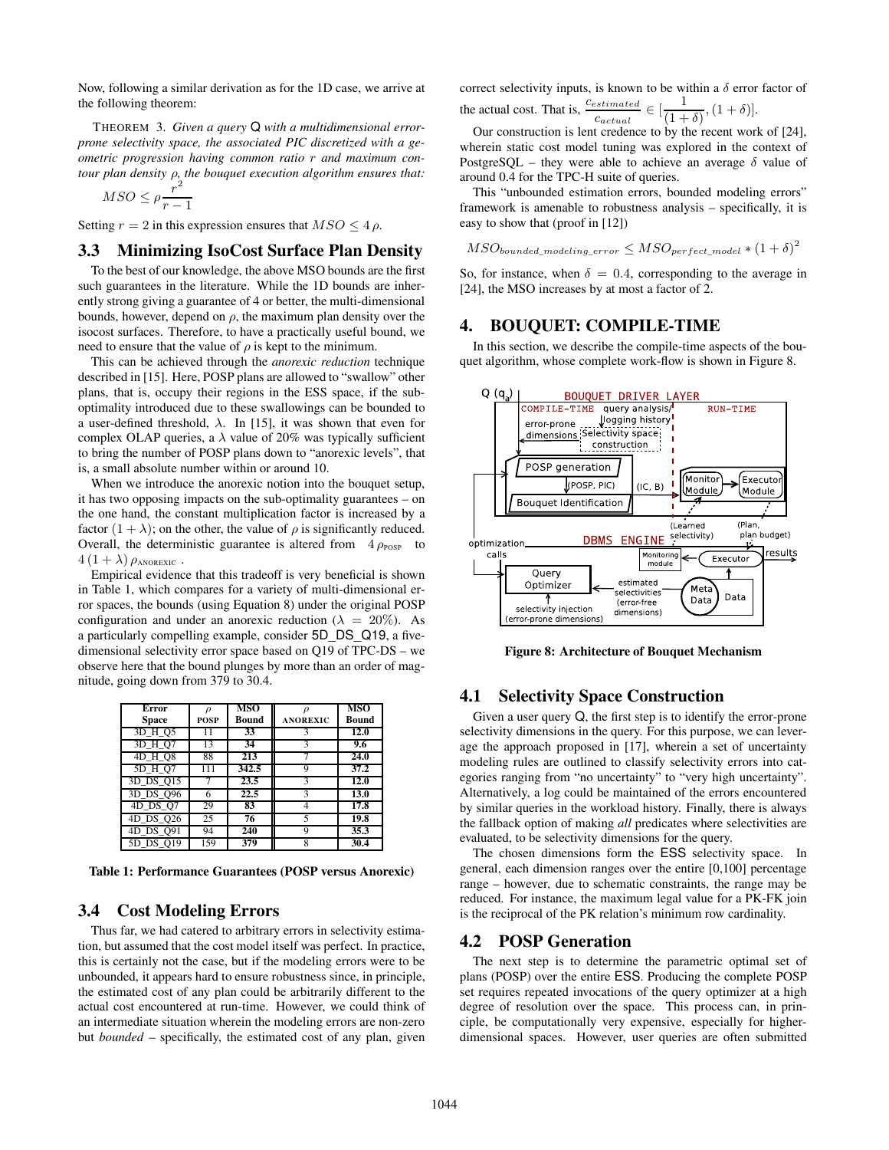Now, following a similar derivation as for the 1D case, we arrive at the following theorem:

THEOREM 3. *Given a query* Q *with a multidimensional errorprone selectivity space, the associated PIC discretized with a geometric progression having common ratio* r *and maximum contour plan density* ρ*, the bouquet execution algorithm ensures that:*

$$
MSO \le \rho \frac{r^2}{r-1}
$$

Setting  $r = 2$  in this expression ensures that  $MSO \leq 4 \rho$ .

# **3.3 Minimizing IsoCost Surface Plan Density**

To the best of our knowledge, the above MSO bounds are the first such guarantees in the literature. While the 1D bounds are inherently strong giving a guarantee of 4 or better, the multi-dimensional bounds, however, depend on  $\rho$ , the maximum plan density over the isocost surfaces. Therefore, to have a practically useful bound, we need to ensure that the value of  $\rho$  is kept to the minimum.

This can be achieved through the *anorexic reduction* technique described in [15]. Here, POSP plans are allowed to "swallow" other plans, that is, occupy their regions in the ESS space, if the suboptimality introduced due to these swallowings can be bounded to a user-defined threshold,  $\lambda$ . In [15], it was shown that even for complex OLAP queries, a  $\lambda$  value of 20% was typically sufficient to bring the number of POSP plans down to "anorexic levels", that is, a small absolute number within or around 10.

When we introduce the anorexic notion into the bouquet setup, it has two opposing impacts on the sub-optimality guarantees – on the one hand, the constant multiplication factor is increased by a factor  $(1 + \lambda)$ ; on the other, the value of  $\rho$  is significantly reduced. Overall, the deterministic guarantee is altered from  $4 \rho_{\text{POSP}}$  to  $4(1+\lambda)\rho_{\text{ANOREXIC}}$ .

Empirical evidence that this tradeoff is very beneficial is shown in Table 1, which compares for a variety of multi-dimensional error spaces, the bounds (using Equation 8) under the original POSP configuration and under an anorexic reduction ( $\lambda = 20\%$ ). As a particularly compelling example, consider 5D\_DS\_Q19, a fivedimensional selectivity error space based on Q19 of TPC-DS – we observe here that the bound plunges by more than an order of magnitude, going down from 379 to 30.4.

| Error          | $\Omega$    | <b>MSO</b> |                 | <b>MSO</b> |
|----------------|-------------|------------|-----------------|------------|
| <b>Space</b>   | <b>POSP</b> | Bound      | <b>ANOREXIC</b> | Bound      |
| 3D H O5        | 11          | 33         |                 | 12.0       |
| 3D H O7        | 13          | 34         | 3               | 9.6        |
| 4D H O8        | 88          | 213        |                 | 24.0       |
| 5D H 07        | 111         | 342.5      | 9               | 37.2       |
| 3D DS 015      |             | 23.5       | 3               | 12.0       |
| 3D_DS_Q96      | 6           | 22.5       | 3               | 13.0       |
| $4D$ $DS$ $O7$ | 29          | 83         |                 | 17.8       |
| 4D DS 026      | 25          | 76         | 5               | 19.8       |
| 4D DS 091      | 94          | 240        | 9               | 35.3       |
| 5D DS 019      | 159         | 379        | 8               | 30.4       |

**Table 1: Performance Guarantees (POSP versus Anorexic)**

## **3.4 Cost Modeling Errors**

Thus far, we had catered to arbitrary errors in selectivity estimation, but assumed that the cost model itself was perfect. In practice, this is certainly not the case, but if the modeling errors were to be unbounded, it appears hard to ensure robustness since, in principle, the estimated cost of any plan could be arbitrarily different to the actual cost encountered at run-time. However, we could think of an intermediate situation wherein the modeling errors are non-zero but *bounded* – specifically, the estimated cost of any plan, given

correct selectivity inputs, is known to be within a  $\delta$  error factor of the actual cost. That is,  $\frac{c_{estimated}}{c_{actual}} \in [\frac{1}{(1+\delta)}, (1+\delta)].$ 

Our construction is lent credence to by the recent work of [24], wherein static cost model tuning was explored in the context of PostgreSQL – they were able to achieve an average  $\delta$  value of around 0.4 for the TPC-H suite of queries.

This "unbounded estimation errors, bounded modeling errors" framework is amenable to robustness analysis – specifically, it is easy to show that (proof in [12])

$$
MSO_{bounded\_modeling\_error} \leq MSO_{perfect\_model} * (1+\delta)^2
$$

So, for instance, when  $\delta = 0.4$ , corresponding to the average in [24], the MSO increases by at most a factor of 2.

## **4. BOUQUET: COMPILE-TIME**

In this section, we describe the compile-time aspects of the bouquet algorithm, whose complete work-flow is shown in Figure 8.



**Figure 8: Architecture of Bouquet Mechanism**

#### **4.1 Selectivity Space Construction**

Given a user query Q, the first step is to identify the error-prone selectivity dimensions in the query. For this purpose, we can leverage the approach proposed in [17], wherein a set of uncertainty modeling rules are outlined to classify selectivity errors into categories ranging from "no uncertainty" to "very high uncertainty". Alternatively, a log could be maintained of the errors encountered by similar queries in the workload history. Finally, there is always the fallback option of making *all* predicates where selectivities are evaluated, to be selectivity dimensions for the query.

The chosen dimensions form the ESS selectivity space. In general, each dimension ranges over the entire [0,100] percentage range – however, due to schematic constraints, the range may be reduced. For instance, the maximum legal value for a PK-FK join is the reciprocal of the PK relation's minimum row cardinality.

## **4.2 POSP Generation**

The next step is to determine the parametric optimal set of plans (POSP) over the entire ESS. Producing the complete POSP set requires repeated invocations of the query optimizer at a high degree of resolution over the space. This process can, in principle, be computationally very expensive, especially for higherdimensional spaces. However, user queries are often submitted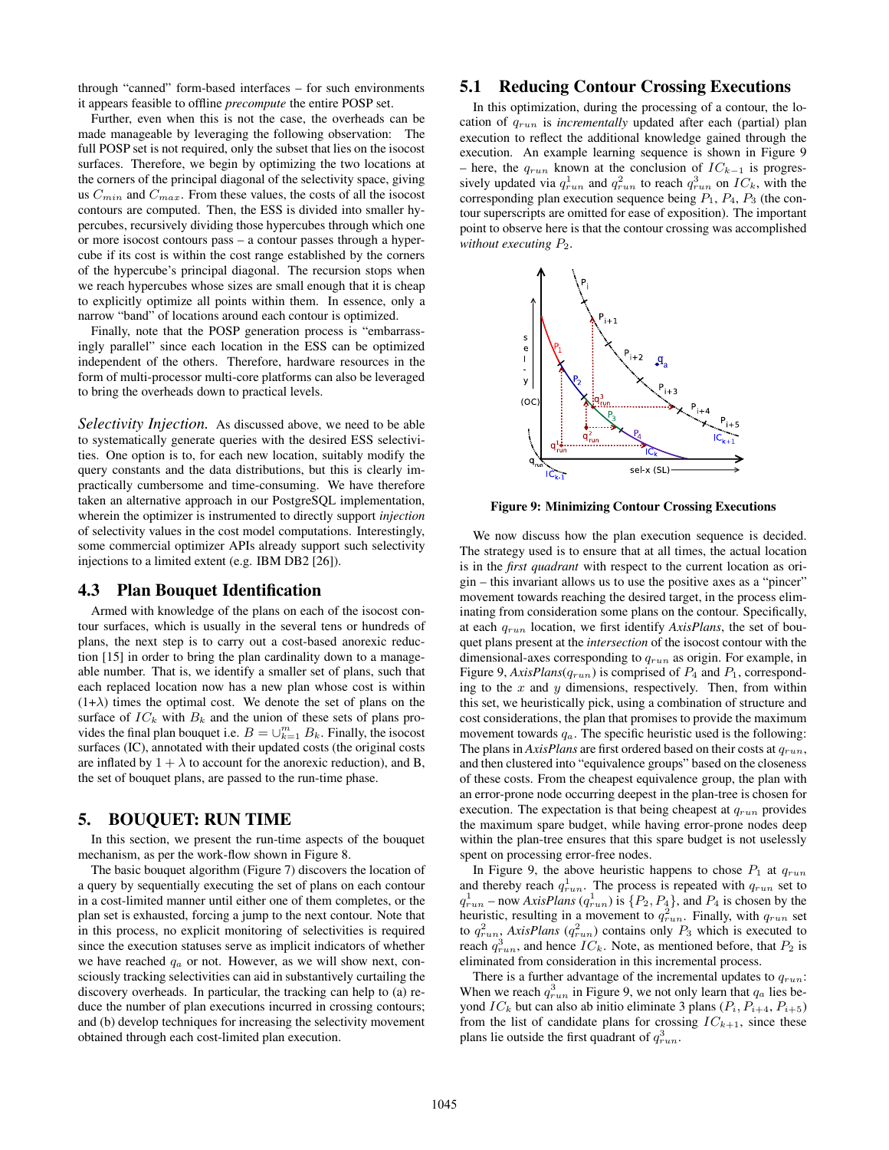through "canned" form-based interfaces – for such environments it appears feasible to offline *precompute* the entire POSP set.

Further, even when this is not the case, the overheads can be made manageable by leveraging the following observation: The full POSP set is not required, only the subset that lies on the isocost surfaces. Therefore, we begin by optimizing the two locations at the corners of the principal diagonal of the selectivity space, giving us  $C_{min}$  and  $C_{max}$ . From these values, the costs of all the isocost contours are computed. Then, the ESS is divided into smaller hypercubes, recursively dividing those hypercubes through which one or more isocost contours pass – a contour passes through a hypercube if its cost is within the cost range established by the corners of the hypercube's principal diagonal. The recursion stops when we reach hypercubes whose sizes are small enough that it is cheap to explicitly optimize all points within them. In essence, only a narrow "band" of locations around each contour is optimized.

Finally, note that the POSP generation process is "embarrassingly parallel" since each location in the ESS can be optimized independent of the others. Therefore, hardware resources in the form of multi-processor multi-core platforms can also be leveraged to bring the overheads down to practical levels.

*Selectivity Injection.* As discussed above, we need to be able to systematically generate queries with the desired ESS selectivities. One option is to, for each new location, suitably modify the query constants and the data distributions, but this is clearly impractically cumbersome and time-consuming. We have therefore taken an alternative approach in our PostgreSQL implementation, wherein the optimizer is instrumented to directly support *injection* of selectivity values in the cost model computations. Interestingly, some commercial optimizer APIs already support such selectivity injections to a limited extent (e.g. IBM DB2 [26]).

## **4.3 Plan Bouquet Identification**

Armed with knowledge of the plans on each of the isocost contour surfaces, which is usually in the several tens or hundreds of plans, the next step is to carry out a cost-based anorexic reduction [15] in order to bring the plan cardinality down to a manageable number. That is, we identify a smaller set of plans, such that each replaced location now has a new plan whose cost is within  $(1+\lambda)$  times the optimal cost. We denote the set of plans on the surface of  $IC_k$  with  $B_k$  and the union of these sets of plans provides the final plan bouquet i.e.  $B = \bigcup_{k=1}^{m} B_k$ . Finally, the isocost surfaces (IC), annotated with their updated costs (the original costs are inflated by  $1 + \lambda$  to account for the anorexic reduction), and B, the set of bouquet plans, are passed to the run-time phase.

## **5. BOUQUET: RUN TIME**

In this section, we present the run-time aspects of the bouquet mechanism, as per the work-flow shown in Figure 8.

The basic bouquet algorithm (Figure 7) discovers the location of a query by sequentially executing the set of plans on each contour in a cost-limited manner until either one of them completes, or the plan set is exhausted, forcing a jump to the next contour. Note that in this process, no explicit monitoring of selectivities is required since the execution statuses serve as implicit indicators of whether we have reached  $q_a$  or not. However, as we will show next, consciously tracking selectivities can aid in substantively curtailing the discovery overheads. In particular, the tracking can help to (a) reduce the number of plan executions incurred in crossing contours; and (b) develop techniques for increasing the selectivity movement obtained through each cost-limited plan execution.

# **5.1 Reducing Contour Crossing Executions**

In this optimization, during the processing of a contour, the location of qrun is *incrementally* updated after each (partial) plan execution to reflect the additional knowledge gained through the execution. An example learning sequence is shown in Figure 9 – here, the  $q_{run}$  known at the conclusion of  $IC_{k-1}$  is progressively updated via  $q_{run}^1$  and  $q_{run}^2$  to reach  $q_{run}^3$  on  $IC_k$ , with the corresponding plan execution sequence being  $P_1$ ,  $P_4$ ,  $P_3$  (the contour superscripts are omitted for ease of exposition). The important point to observe here is that the contour crossing was accomplished *without executing* P2.



**Figure 9: Minimizing Contour Crossing Executions**

We now discuss how the plan execution sequence is decided. The strategy used is to ensure that at all times, the actual location is in the *first quadrant* with respect to the current location as origin – this invariant allows us to use the positive axes as a "pincer" movement towards reaching the desired target, in the process eliminating from consideration some plans on the contour. Specifically, at each qrun location, we first identify *AxisPlans*, the set of bouquet plans present at the *intersection* of the isocost contour with the dimensional-axes corresponding to  $q_{run}$  as origin. For example, in Figure 9,  $AxisPlans(q_{run})$  is comprised of  $P_4$  and  $P_1$ , corresponding to the  $x$  and  $y$  dimensions, respectively. Then, from within this set, we heuristically pick, using a combination of structure and cost considerations, the plan that promises to provide the maximum movement towards  $q_a$ . The specific heuristic used is the following: The plans in *AxisPlans* are first ordered based on their costs at  $q_{run}$ , and then clustered into "equivalence groups" based on the closeness of these costs. From the cheapest equivalence group, the plan with an error-prone node occurring deepest in the plan-tree is chosen for execution. The expectation is that being cheapest at  $q_{run}$  provides the maximum spare budget, while having error-prone nodes deep within the plan-tree ensures that this spare budget is not uselessly spent on processing error-free nodes.

In Figure 9, the above heuristic happens to chose  $P_1$  at  $q_{run}$ and thereby reach  $q_{run}^1$ . The process is repeated with  $q_{run}$  set to  $q_{run}^1$  – now *AxisPlans*  $(q_{run}^1)$  is  $\{P_2, P_4\}$ , and  $P_4$  is chosen by the heuristic, resulting in a movement to  $q_{run}^2$ . Finally, with  $q_{run}$  set to  $q_{run}^2$ , *AxisPlans*  $(q_{run}^2)$  contains only  $P_3$  which is executed to reach  $q_{run}^3$ , and hence  $IC_k$ . Note, as mentioned before, that  $P_2$  is eliminated from consideration in this incremental process.

There is a further advantage of the incremental updates to  $q_{run}$ : When we reach  $q_{run}^3$  in Figure 9, we not only learn that  $q_a$  lies beyond  $IC_k$  but can also ab initio eliminate 3 plans  $(P_i, P_{i+4}, P_{i+5})$ from the list of candidate plans for crossing  $IC_{k+1}$ , since these plans lie outside the first quadrant of  $q_{run}^3$ .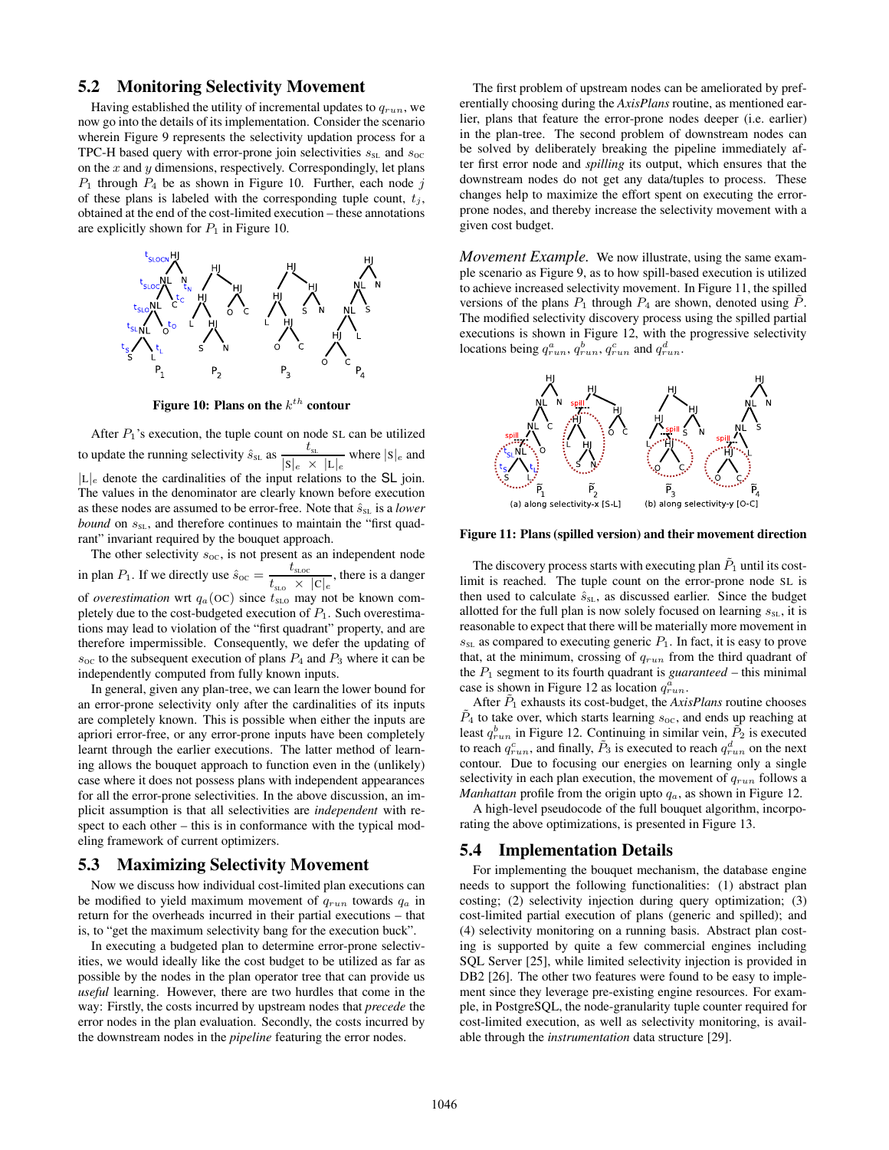## **5.2 Monitoring Selectivity Movement**

Having established the utility of incremental updates to  $q_{run}$ , we now go into the details of its implementation. Consider the scenario wherein Figure 9 represents the selectivity updation process for a TPC-H based query with error-prone join selectivities  $s_{SL}$  and  $s_{OC}$ on the  $x$  and  $y$  dimensions, respectively. Correspondingly, let plans  $P_1$  through  $P_4$  be as shown in Figure 10. Further, each node j of these plans is labeled with the corresponding tuple count,  $t_j$ , obtained at the end of the cost-limited execution – these annotations are explicitly shown for  $P_1$  in Figure 10.



**Figure 10: Plans on the**  $k^{th}$  **contour** 

After  $P_1$ 's execution, the tuple count on node SL can be utilized to update the running selectivity  $\hat{s}_{s}$  as  $\frac{t_{s}}{|S|_e \times |L|_e}$  where  $|S|_e$  and  $|L|_e$  denote the cardinalities of the input relations to the SL join. The values in the denominator are clearly known before execution as these nodes are assumed to be error-free. Note that  $\hat{s}_{\text{SL}}$  is a *lower bound* on  $s_{SL}$ , and therefore continues to maintain the "first quadrant" invariant required by the bouquet approach.

The other selectivity  $s_{\text{oc}}$ , is not present as an independent node in plan  $P_1$ . If we directly use  $\hat{s}_{\text{oc}} = \frac{t_{\text{stoc}}}{t_{\text{stoc}} \times |C|_e}$ , there is a danger of *overestimation* wrt  $q_a$ (OC) since  $t_{\text{SLO}}$  may not be known completely due to the cost-budgeted execution of  $P_1$ . Such overestimations may lead to violation of the "first quadrant" property, and are therefore impermissible. Consequently, we defer the updating of  $s_{\text{OC}}$  to the subsequent execution of plans  $P_4$  and  $P_3$  where it can be independently computed from fully known inputs.

In general, given any plan-tree, we can learn the lower bound for an error-prone selectivity only after the cardinalities of its inputs are completely known. This is possible when either the inputs are apriori error-free, or any error-prone inputs have been completely learnt through the earlier executions. The latter method of learning allows the bouquet approach to function even in the (unlikely) case where it does not possess plans with independent appearances for all the error-prone selectivities. In the above discussion, an implicit assumption is that all selectivities are *independent* with respect to each other – this is in conformance with the typical modeling framework of current optimizers.

#### **5.3 Maximizing Selectivity Movement**

Now we discuss how individual cost-limited plan executions can be modified to yield maximum movement of  $q_{run}$  towards  $q_a$  in return for the overheads incurred in their partial executions – that is, to "get the maximum selectivity bang for the execution buck".

In executing a budgeted plan to determine error-prone selectivities, we would ideally like the cost budget to be utilized as far as possible by the nodes in the plan operator tree that can provide us *useful* learning. However, there are two hurdles that come in the way: Firstly, the costs incurred by upstream nodes that *precede* the error nodes in the plan evaluation. Secondly, the costs incurred by the downstream nodes in the *pipeline* featuring the error nodes.

The first problem of upstream nodes can be ameliorated by preferentially choosing during the *AxisPlans* routine, as mentioned earlier, plans that feature the error-prone nodes deeper (i.e. earlier) in the plan-tree. The second problem of downstream nodes can be solved by deliberately breaking the pipeline immediately after first error node and *spilling* its output, which ensures that the downstream nodes do not get any data/tuples to process. These changes help to maximize the effort spent on executing the errorprone nodes, and thereby increase the selectivity movement with a given cost budget.

*Movement Example.* We now illustrate, using the same example scenario as Figure 9, as to how spill-based execution is utilized to achieve increased selectivity movement. In Figure 11, the spilled versions of the plans  $P_1$  through  $P_4$  are shown, denoted using  $\overline{P}$ . The modified selectivity discovery process using the spilled partial executions is shown in Figure 12, with the progressive selectivity locations being  $q_{run}^a$ ,  $q_{run}^b$ ,  $q_{run}^c$  and  $q_{run}^d$ .



**Figure 11: Plans (spilled version) and their movement direction**

The discovery process starts with executing plan  $\tilde{P}_1$  until its costlimit is reached. The tuple count on the error-prone node SL is then used to calculate  $\hat{s}_{SL}$ , as discussed earlier. Since the budget allotted for the full plan is now solely focused on learning  $s_{SL}$ , it is reasonable to expect that there will be materially more movement in  $s_{\text{SL}}$  as compared to executing generic  $P_1$ . In fact, it is easy to prove that, at the minimum, crossing of  $q_{run}$  from the third quadrant of the  $P_1$  segment to its fourth quadrant is *guaranteed* – this minimal case is shown in Figure 12 as location  $q_{run}^a$ .

After  $P_1$  exhausts its cost-budget, the *AxisPlans* routine chooses  $\tilde{P}_4$  to take over, which starts learning  $s_{\text{oc}}$ , and ends up reaching at least  $q_{run}^b$  in Figure 12. Continuing in similar vein,  $\tilde{P}_2$  is executed to reach  $q_{run}^c$ , and finally,  $\tilde{P}_3$  is executed to reach  $q_{run}^d$  on the next contour. Due to focusing our energies on learning only a single selectivity in each plan execution, the movement of  $q_{run}$  follows a *Manhattan* profile from the origin upto  $q_a$ , as shown in Figure 12.

A high-level pseudocode of the full bouquet algorithm, incorporating the above optimizations, is presented in Figure 13.

## **5.4 Implementation Details**

For implementing the bouquet mechanism, the database engine needs to support the following functionalities: (1) abstract plan costing; (2) selectivity injection during query optimization; (3) cost-limited partial execution of plans (generic and spilled); and (4) selectivity monitoring on a running basis. Abstract plan costing is supported by quite a few commercial engines including SQL Server [25], while limited selectivity injection is provided in DB2 [26]. The other two features were found to be easy to implement since they leverage pre-existing engine resources. For example, in PostgreSQL, the node-granularity tuple counter required for cost-limited execution, as well as selectivity monitoring, is available through the *instrumentation* data structure [29].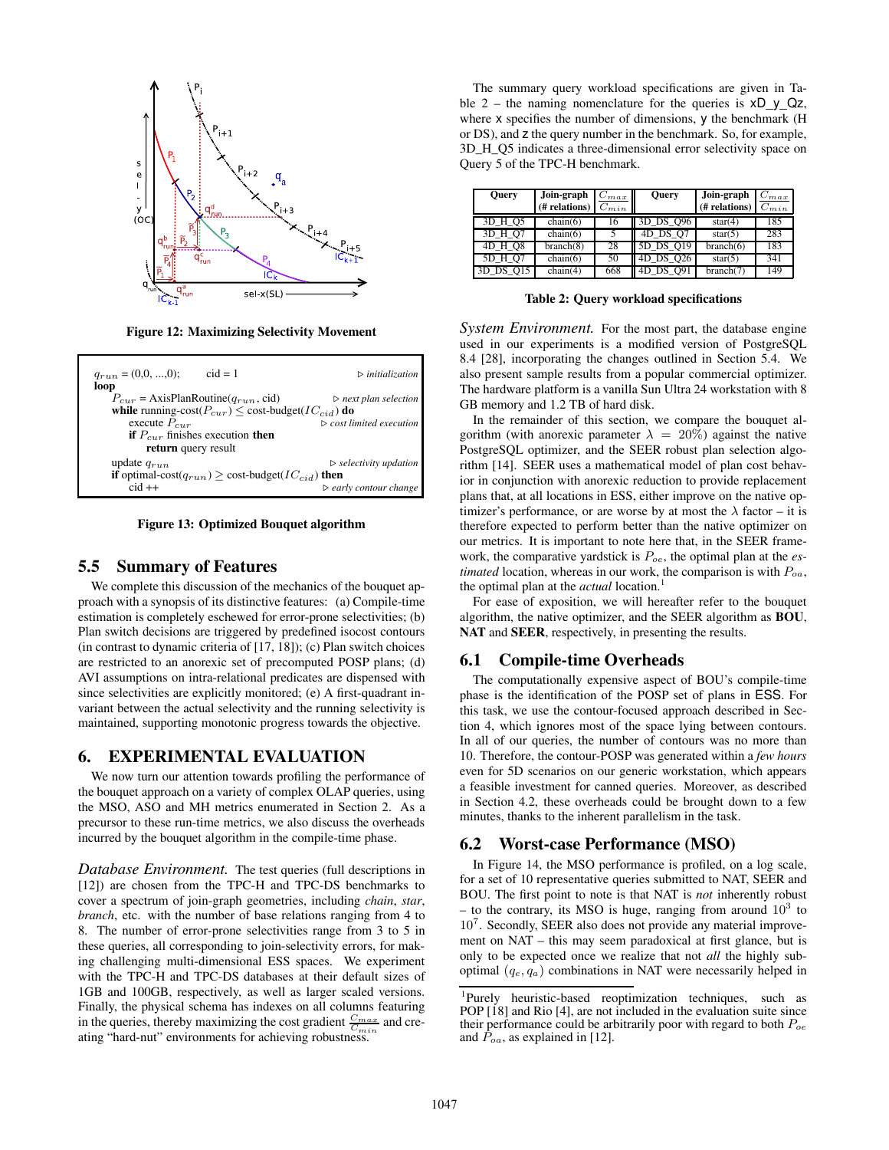

**Figure 12: Maximizing Selectivity Movement**



**Figure 13: Optimized Bouquet algorithm**

## **5.5 Summary of Features**

We complete this discussion of the mechanics of the bouquet approach with a synopsis of its distinctive features: (a) Compile-time estimation is completely eschewed for error-prone selectivities; (b) Plan switch decisions are triggered by predefined isocost contours (in contrast to dynamic criteria of [17, 18]); (c) Plan switch choices are restricted to an anorexic set of precomputed POSP plans; (d) AVI assumptions on intra-relational predicates are dispensed with since selectivities are explicitly monitored; (e) A first-quadrant invariant between the actual selectivity and the running selectivity is maintained, supporting monotonic progress towards the objective.

## **6. EXPERIMENTAL EVALUATION**

We now turn our attention towards profiling the performance of the bouquet approach on a variety of complex OLAP queries, using the MSO, ASO and MH metrics enumerated in Section 2. As a precursor to these run-time metrics, we also discuss the overheads incurred by the bouquet algorithm in the compile-time phase.

*Database Environment.* The test queries (full descriptions in [12]) are chosen from the TPC-H and TPC-DS benchmarks to cover a spectrum of join-graph geometries, including *chain*, *star*, *branch*, etc. with the number of base relations ranging from 4 to 8. The number of error-prone selectivities range from 3 to 5 in these queries, all corresponding to join-selectivity errors, for making challenging multi-dimensional ESS spaces. We experiment with the TPC-H and TPC-DS databases at their default sizes of 1GB and 100GB, respectively, as well as larger scaled versions. Finally, the physical schema has indexes on all columns featuring in the queries, thereby maximizing the cost gradient  $\frac{C_{max}}{C_{min}}$  and creating "hard-nut" environments for achieving robustness.

The summary query workload specifications are given in Table 2 – the naming nomenclature for the queries is  $xD \,y$  Qz, where x specifies the number of dimensions, y the benchmark (H or DS), and z the query number in the benchmark. So, for example, 3D\_H\_Q5 indicates a three-dimensional error selectivity space on Query 5 of the TPC-H benchmark.

| Query     | Join-graph    | $C_{max}$ | Query      | Join-graph    | $\dot{m}$ ax |
|-----------|---------------|-----------|------------|---------------|--------------|
|           | (# relations) | $C_{min}$ |            | (# relations) | $C_{min}$    |
| 3D H O5   | chain(6)      | 16        | 3D DS 096  | star(4)       | 185          |
| 3D H O7   | chain(6)      |           | 4D DS 07   | star(5)       | 283          |
| 4D H 08   | branch(8)     | 28        | 5D DS 019  | branch(6)     | 183          |
| 5D H O7   | chain(6)      | 50        | 4D DS 026  | star(5)       | 341          |
| 3D DS 015 | chain(4)      | 668       | 4D.<br>O91 | branch(7)     | 149          |

**Table 2: Query workload specifications**

*System Environment.* For the most part, the database engine used in our experiments is a modified version of PostgreSQL 8.4 [28], incorporating the changes outlined in Section 5.4. We also present sample results from a popular commercial optimizer. The hardware platform is a vanilla Sun Ultra 24 workstation with 8 GB memory and 1.2 TB of hard disk.

In the remainder of this section, we compare the bouquet algorithm (with anorexic parameter  $\lambda = 20\%$ ) against the native PostgreSQL optimizer, and the SEER robust plan selection algorithm [14]. SEER uses a mathematical model of plan cost behavior in conjunction with anorexic reduction to provide replacement plans that, at all locations in ESS, either improve on the native optimizer's performance, or are worse by at most the  $\lambda$  factor – it is therefore expected to perform better than the native optimizer on our metrics. It is important to note here that, in the SEER framework, the comparative yardstick is Poe, the optimal plan at the *estimated* location, whereas in our work, the comparison is with  $P_{oa}$ , the optimal plan at the *actual* location.<sup>1</sup>

For ease of exposition, we will hereafter refer to the bouquet algorithm, the native optimizer, and the SEER algorithm as **BOU**, **NAT** and **SEER**, respectively, in presenting the results.

## **6.1 Compile-time Overheads**

The computationally expensive aspect of BOU's compile-time phase is the identification of the POSP set of plans in ESS. For this task, we use the contour-focused approach described in Section 4, which ignores most of the space lying between contours. In all of our queries, the number of contours was no more than 10. Therefore, the contour-POSP was generated within a *few hours* even for 5D scenarios on our generic workstation, which appears a feasible investment for canned queries. Moreover, as described in Section 4.2, these overheads could be brought down to a few minutes, thanks to the inherent parallelism in the task.

#### **6.2 Worst-case Performance (MSO)**

In Figure 14, the MSO performance is profiled, on a log scale, for a set of 10 representative queries submitted to NAT, SEER and BOU. The first point to note is that NAT is *not* inherently robust – to the contrary, its MSO is huge, ranging from around  $10<sup>3</sup>$  to  $10<sup>7</sup>$ . Secondly, SEER also does not provide any material improvement on NAT – this may seem paradoxical at first glance, but is only to be expected once we realize that not *all* the highly suboptimal  $(q_e, q_a)$  combinations in NAT were necessarily helped in

<sup>1</sup> Purely heuristic-based reoptimization techniques, such as POP [18] and Rio [4], are not included in the evaluation suite since their performance could be arbitrarily poor with regard to both  $P_{oe}$ and  $\bar{P}_{oa}$ , as explained in [12].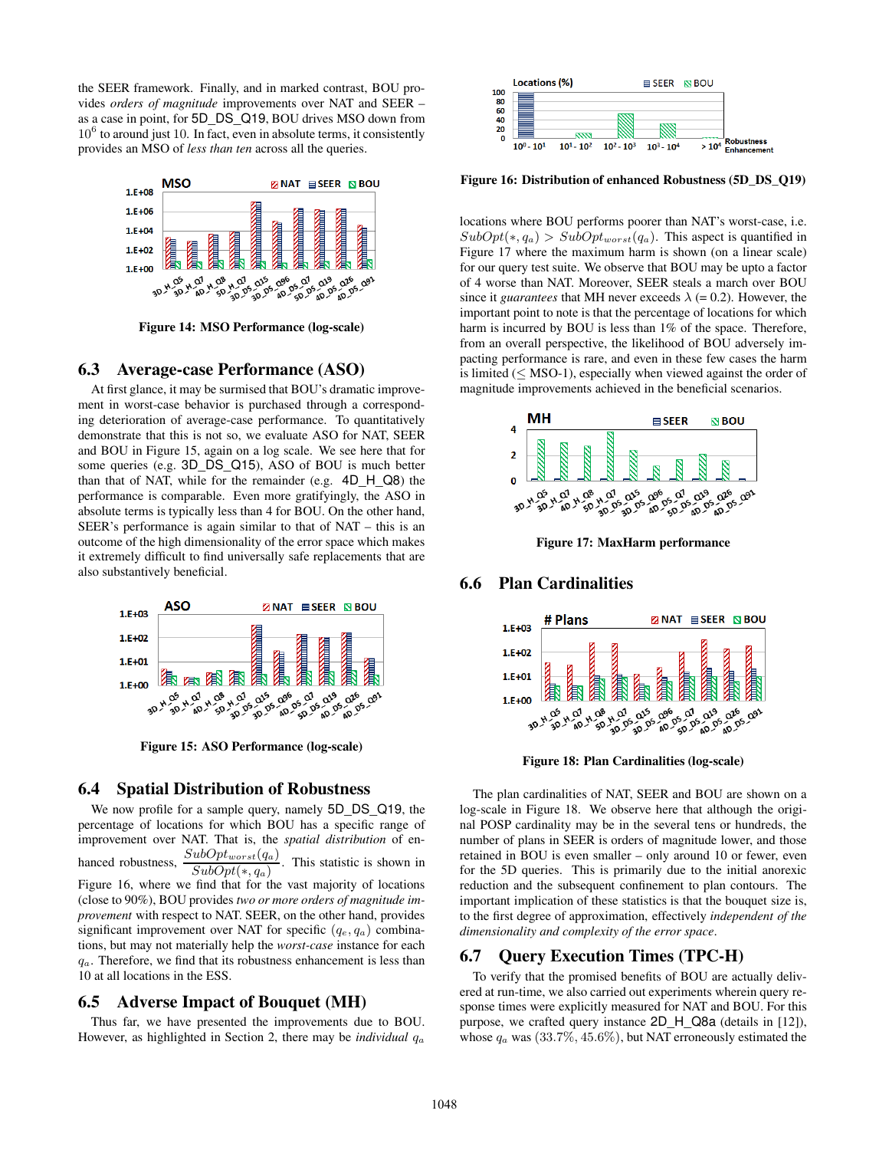the SEER framework. Finally, and in marked contrast, BOU provides *orders of magnitude* improvements over NAT and SEER – as a case in point, for 5D\_DS\_Q19, BOU drives MSO down from  $10<sup>6</sup>$  to around just 10. In fact, even in absolute terms, it consistently provides an MSO of *less than ten* across all the queries.



**Figure 14: MSO Performance (log-scale)**

#### **6.3 Average-case Performance (ASO)**

At first glance, it may be surmised that BOU's dramatic improvement in worst-case behavior is purchased through a corresponding deterioration of average-case performance. To quantitatively demonstrate that this is not so, we evaluate ASO for NAT, SEER and BOU in Figure 15, again on a log scale. We see here that for some queries (e.g. 3D\_DS\_Q15), ASO of BOU is much better than that of NAT, while for the remainder (e.g. 4D\_H\_Q8) the performance is comparable. Even more gratifyingly, the ASO in absolute terms is typically less than 4 for BOU. On the other hand, SEER's performance is again similar to that of NAT – this is an outcome of the high dimensionality of the error space which makes it extremely difficult to find universally safe replacements that are also substantively beneficial.



**Figure 15: ASO Performance (log-scale)**

### **6.4 Spatial Distribution of Robustness**

We now profile for a sample query, namely 5D DS Q19, the percentage of locations for which BOU has a specific range of improvement over NAT. That is, the *spatial distribution* of enhanced robustness,  $\frac{SubOpt_{worst}(q_a)}{SubOpt(*, q_a)}$ . . This statistic is shown in Figure 16, where we find that for the vast majority of locations (close to 90%), BOU provides *two or more orders of magnitude improvement* with respect to NAT. SEER, on the other hand, provides significant improvement over NAT for specific  $(q_e, q_a)$  combinations, but may not materially help the *worst-case* instance for each  $q_a$ . Therefore, we find that its robustness enhancement is less than 10 at all locations in the ESS.

#### **6.5 Adverse Impact of Bouquet (MH)**

Thus far, we have presented the improvements due to BOU. However, as highlighted in Section 2, there may be *individual*  $q_a$ 



**Figure 16: Distribution of enhanced Robustness (5D\_DS\_Q19)**

locations where BOU performs poorer than NAT's worst-case, i.e.  $SubOpt(*, q_a) > SubOpt<sub>worst</sub>(q_a)$ . This aspect is quantified in Figure 17 where the maximum harm is shown (on a linear scale) for our query test suite. We observe that BOU may be upto a factor of 4 worse than NAT. Moreover, SEER steals a march over BOU since it *guarantees* that MH never exceeds  $\lambda$  (= 0.2). However, the important point to note is that the percentage of locations for which harm is incurred by BOU is less than 1% of the space. Therefore, from an overall perspective, the likelihood of BOU adversely impacting performance is rare, and even in these few cases the harm is limited  $(\leq MSO-1)$ , especially when viewed against the order of magnitude improvements achieved in the beneficial scenarios.



**Figure 17: MaxHarm performance**

## **6.6 Plan Cardinalities**



**Figure 18: Plan Cardinalities (log-scale)**

The plan cardinalities of NAT, SEER and BOU are shown on a log-scale in Figure 18. We observe here that although the original POSP cardinality may be in the several tens or hundreds, the number of plans in SEER is orders of magnitude lower, and those retained in BOU is even smaller – only around 10 or fewer, even for the 5D queries. This is primarily due to the initial anorexic reduction and the subsequent confinement to plan contours. The important implication of these statistics is that the bouquet size is, to the first degree of approximation, effectively *independent of the dimensionality and complexity of the error space*.

### **6.7 Query Execution Times (TPC-H)**

To verify that the promised benefits of BOU are actually delivered at run-time, we also carried out experiments wherein query response times were explicitly measured for NAT and BOU. For this purpose, we crafted query instance 2D H Q8a (details in [12]), whose  $q_a$  was (33.7%, 45.6%), but NAT erroneously estimated the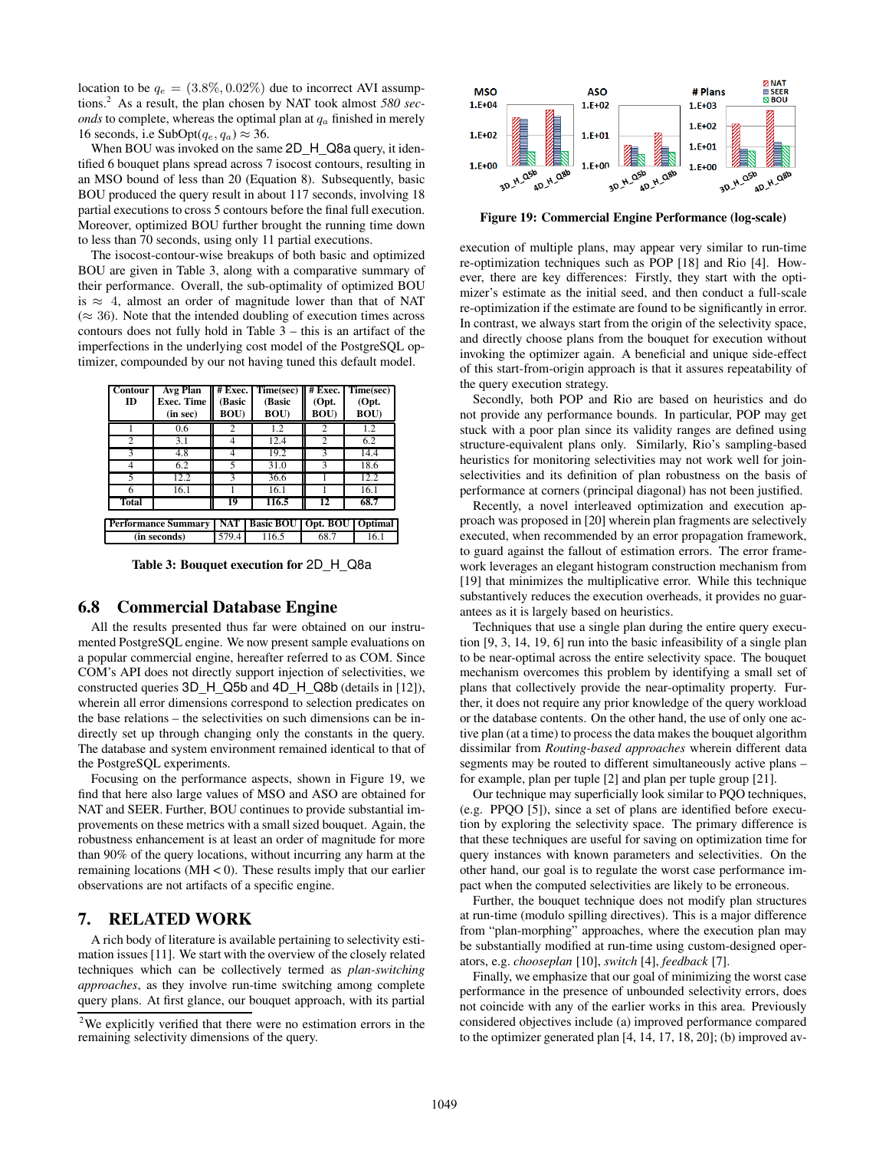location to be  $q_e = (3.8\%, 0.02\%)$  due to incorrect AVI assumptions.<sup>2</sup> As a result, the plan chosen by NAT took almost *580 seconds* to complete, whereas the optimal plan at  $q_a$  finished in merely 16 seconds, i.e SubOpt( $q_e, q_a$ )  $\approx$  36.

When BOU was invoked on the same 2D H Q8a query, it identified 6 bouquet plans spread across 7 isocost contours, resulting in an MSO bound of less than 20 (Equation 8). Subsequently, basic BOU produced the query result in about 117 seconds, involving 18 partial executions to cross 5 contours before the final full execution. Moreover, optimized BOU further brought the running time down to less than 70 seconds, using only 11 partial executions.

The isocost-contour-wise breakups of both basic and optimized BOU are given in Table 3, along with a comparative summary of their performance. Overall, the sub-optimality of optimized BOU is  $\approx$  4, almost an order of magnitude lower than that of NAT  $(\approx 36)$ . Note that the intended doubling of execution times across contours does not fully hold in Table 3 – this is an artifact of the imperfections in the underlying cost model of the PostgreSQL optimizer, compounded by our not having tuned this default model.

| <b>Contour</b><br>ID       | Avg Plan<br><b>Exec. Time</b><br>(in sec) | # Exec.<br>(Basic<br>BOU) | Time(sec)<br>(Basic<br>BOU)    | # Exec.<br>(Opt.<br><b>BOU</b> ) | Time(sec)<br>(Opt.<br>BOU) |  |  |
|----------------------------|-------------------------------------------|---------------------------|--------------------------------|----------------------------------|----------------------------|--|--|
|                            | 0.6                                       | 2                         | 1.2                            | 2                                | 1.2                        |  |  |
| $\overline{c}$             | 3.1                                       | 4                         | 12.4                           | 2                                | 6.2                        |  |  |
| 3                          | 4.8                                       | 4                         | 19.2                           | 3                                | 14.4                       |  |  |
| 4                          | 6.2                                       | 5                         | 31.0                           | 3                                | 18.6                       |  |  |
| 5                          | 12.2                                      | 3                         | 36.6                           |                                  | 12.2                       |  |  |
| 6                          | 16.1                                      |                           | 16.1                           |                                  | 16.1                       |  |  |
| <b>Total</b>               |                                           | 19                        | 116.5                          | 12                               | 68.7                       |  |  |
|                            |                                           |                           |                                |                                  |                            |  |  |
| <b>Performance Summary</b> |                                           | <b>NAT</b>                | Basic BOU   Opt. BOU   Optimal |                                  |                            |  |  |
| (in seconds)               |                                           | 579.4                     | 116.5                          | 68.7                             | 16.1                       |  |  |

**Table 3: Bouquet execution for** 2D\_H\_Q8a

## **6.8 Commercial Database Engine**

All the results presented thus far were obtained on our instrumented PostgreSQL engine. We now present sample evaluations on a popular commercial engine, hereafter referred to as COM. Since COM's API does not directly support injection of selectivities, we constructed queries 3D\_H\_Q5b and 4D\_H\_Q8b (details in [12]), wherein all error dimensions correspond to selection predicates on the base relations – the selectivities on such dimensions can be indirectly set up through changing only the constants in the query. The database and system environment remained identical to that of the PostgreSQL experiments.

Focusing on the performance aspects, shown in Figure 19, we find that here also large values of MSO and ASO are obtained for NAT and SEER. Further, BOU continues to provide substantial improvements on these metrics with a small sized bouquet. Again, the robustness enhancement is at least an order of magnitude for more than 90% of the query locations, without incurring any harm at the remaining locations ( $MH < 0$ ). These results imply that our earlier observations are not artifacts of a specific engine.

## **7. RELATED WORK**

A rich body of literature is available pertaining to selectivity estimation issues [11]. We start with the overview of the closely related techniques which can be collectively termed as *plan-switching approaches*, as they involve run-time switching among complete query plans. At first glance, our bouquet approach, with its partial

 $2$ We explicitly verified that there were no estimation errors in the remaining selectivity dimensions of the query.



**Figure 19: Commercial Engine Performance (log-scale)**

execution of multiple plans, may appear very similar to run-time re-optimization techniques such as POP [18] and Rio [4]. However, there are key differences: Firstly, they start with the optimizer's estimate as the initial seed, and then conduct a full-scale re-optimization if the estimate are found to be significantly in error. In contrast, we always start from the origin of the selectivity space, and directly choose plans from the bouquet for execution without invoking the optimizer again. A beneficial and unique side-effect of this start-from-origin approach is that it assures repeatability of the query execution strategy.

Secondly, both POP and Rio are based on heuristics and do not provide any performance bounds. In particular, POP may get stuck with a poor plan since its validity ranges are defined using structure-equivalent plans only. Similarly, Rio's sampling-based heuristics for monitoring selectivities may not work well for joinselectivities and its definition of plan robustness on the basis of performance at corners (principal diagonal) has not been justified.

Recently, a novel interleaved optimization and execution approach was proposed in [20] wherein plan fragments are selectively executed, when recommended by an error propagation framework, to guard against the fallout of estimation errors. The error framework leverages an elegant histogram construction mechanism from [19] that minimizes the multiplicative error. While this technique substantively reduces the execution overheads, it provides no guarantees as it is largely based on heuristics.

Techniques that use a single plan during the entire query execution [9, 3, 14, 19, 6] run into the basic infeasibility of a single plan to be near-optimal across the entire selectivity space. The bouquet mechanism overcomes this problem by identifying a small set of plans that collectively provide the near-optimality property. Further, it does not require any prior knowledge of the query workload or the database contents. On the other hand, the use of only one active plan (at a time) to process the data makes the bouquet algorithm dissimilar from *Routing-based approaches* wherein different data segments may be routed to different simultaneously active plans – for example, plan per tuple [2] and plan per tuple group [21].

Our technique may superficially look similar to PQO techniques, (e.g. PPQO [5]), since a set of plans are identified before execution by exploring the selectivity space. The primary difference is that these techniques are useful for saving on optimization time for query instances with known parameters and selectivities. On the other hand, our goal is to regulate the worst case performance impact when the computed selectivities are likely to be erroneous.

Further, the bouquet technique does not modify plan structures at run-time (modulo spilling directives). This is a major difference from "plan-morphing" approaches, where the execution plan may be substantially modified at run-time using custom-designed operators, e.g. *chooseplan* [10], *switch* [4], *feedback* [7].

Finally, we emphasize that our goal of minimizing the worst case performance in the presence of unbounded selectivity errors, does not coincide with any of the earlier works in this area. Previously considered objectives include (a) improved performance compared to the optimizer generated plan [4, 14, 17, 18, 20]; (b) improved av